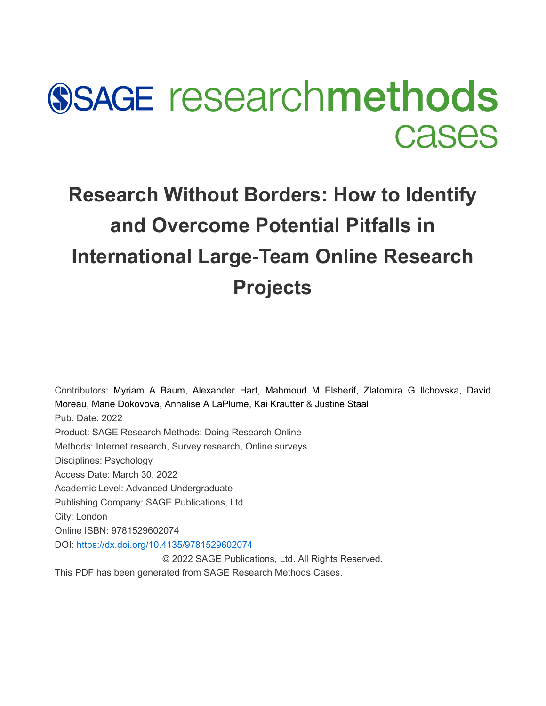# **SSAGE researchmethods Cases**

## **Research Without Borders: How to Identify and Overcome Potential Pitfalls in International Large-Team Online Research Projects**

Contributors: [Myriam A Baum](javascript:void(0);), [Alexander Hart](javascript:void(0);), [Mahmoud M Elsherif](javascript:void(0);), [Zlatomira G Ilchovska](javascript:void(0);), [David](javascript:void(0);) [Moreau](javascript:void(0);), [Marie Dokovova](javascript:void(0);), [Annalise A LaPlume](javascript:void(0);), [Kai Krautter](javascript:void(0);) & [Justine Staal](javascript:void(0);)  Pub. Date: 2022 Product: SAGE Research Methods: Doing Research Online Methods: Internet research, Survey research, Online surveys Disciplines: Psychology Access Date: March 30, 2022 Academic Level: Advanced Undergraduate Publishing Company: SAGE Publications, Ltd. City: London Online ISBN: 9781529602074 DOI: [https://dx.doi.org/10.4135/9781529602074](https://dx.<wbr>doi.<wbr>org/10.4135/9781529602074) © 2022 SAGE Publications, Ltd. All Rights Reserved. This PDF has been generated from SAGE Research Methods Cases.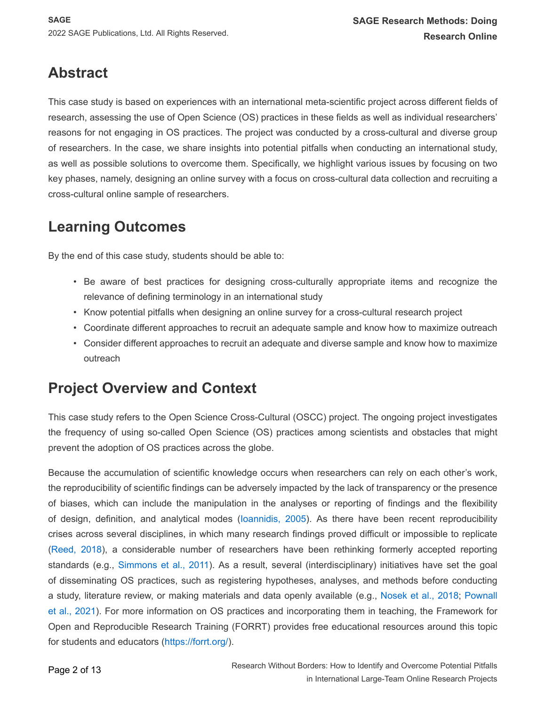## **Abstract**

This case study is based on experiences with an international meta-scientific project across different fields of research, assessing the use of Open Science (OS) practices in these fields as well as individual researchers' reasons for not engaging in OS practices. The project was conducted by a cross-cultural and diverse group of researchers. In the case, we share insights into potential pitfalls when conducting an international study, as well as possible solutions to overcome them. Specifically, we highlight various issues by focusing on two key phases, namely, designing an online survey with a focus on cross-cultural data collection and recruiting a cross-cultural online sample of researchers.

## **Learning Outcomes**

By the end of this case study, students should be able to:

- Be aware of best practices for designing cross-culturally appropriate items and recognize the relevance of defining terminology in an international study
- Know potential pitfalls when designing an online survey for a cross-cultural research project
- Coordinate different approaches to recruit an adequate sample and know how to maximize outreach
- Consider different approaches to recruit an adequate and diverse sample and know how to maximize outreach

## **Project Overview and Context**

This case study refers to the Open Science Cross-Cultural (OSCC) project. The ongoing project investigates the frequency of using so-called Open Science (OS) practices among scientists and obstacles that might prevent the adoption of OS practices across the globe.

Because the accumulation of scientific knowledge occurs when researchers can rely on each other's work, the reproducibility of scientific findings can be adversely impacted by the lack of transparency or the presence of biases, which can include the manipulation in the analyses or reporting of findings and the flexibility of design, definition, and analytical modes ([Ioannidis, 2005](#page-11-0)). As there have been recent reproducibility crises across several disciplines, in which many research findings proved difficult or impossible to replicate ([Reed, 2018](#page-12-0)), a considerable number of researchers have been rethinking formerly accepted reporting standards (e.g., [Simmons et al., 2011](#page-12-1)). As a result, several (interdisciplinary) initiatives have set the goal of disseminating OS practices, such as registering hypotheses, analyses, and methods before conducting a study, literature review, or making materials and data openly available (e.g., [Nosek et al., 2018](#page-11-1); [Pownall](#page-11-2)  [et al., 2021](#page-11-2)). For more information on OS practices and incorporating them in teaching, the Framework for Open and Reproducible Research Training (FORRT) provides free educational resources around this topic for students and educators (<https://forrt.org/>).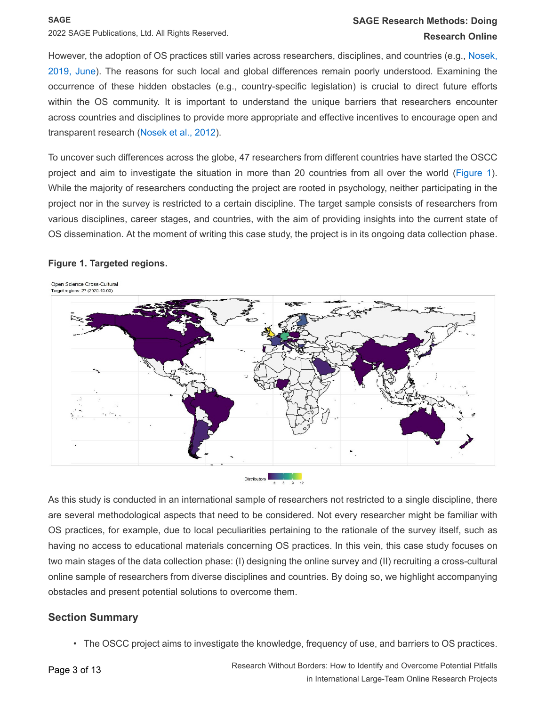#### **SAGE Research Methods: Doing Research Online**

However, the adoption of OS practices still varies across researchers, disciplines, and countries (e.g., [Nosek,](#page-11-3)  [2019, June](#page-11-3)). The reasons for such local and global differences remain poorly understood. Examining the occurrence of these hidden obstacles (e.g., country-specific legislation) is crucial to direct future efforts within the OS community. It is important to understand the unique barriers that researchers encounter across countries and disciplines to provide more appropriate and effective incentives to encourage open and transparent research ([Nosek et al., 2012](#page-11-1)).

To uncover such differences across the globe, 47 researchers from different countries have started the OSCC project and aim to investigate the situation in more than 20 countries from all over the world ([Figure 1](#page-2-0)). While the majority of researchers conducting the project are rooted in psychology, neither participating in the project nor in the survey is restricted to a certain discipline. The target sample consists of researchers from various disciplines, career stages, and countries, with the aim of providing insights into the current state of OS dissemination. At the moment of writing this case study, the project is in its ongoing data collection phase.

#### **Figure 1. Targeted regions.**

<span id="page-2-0"></span>

As this study is conducted in an international sample of researchers not restricted to a single discipline, there are several methodological aspects that need to be considered. Not every researcher might be familiar with OS practices, for example, due to local peculiarities pertaining to the rationale of the survey itself, such as having no access to educational materials concerning OS practices. In this vein, this case study focuses on two main stages of the data collection phase: (I) designing the online survey and (II) recruiting a cross-cultural online sample of researchers from diverse disciplines and countries. By doing so, we highlight accompanying obstacles and present potential solutions to overcome them.

#### **Section Summary**

• The OSCC project aims to investigate the knowledge, frequency of use, and barriers to OS practices.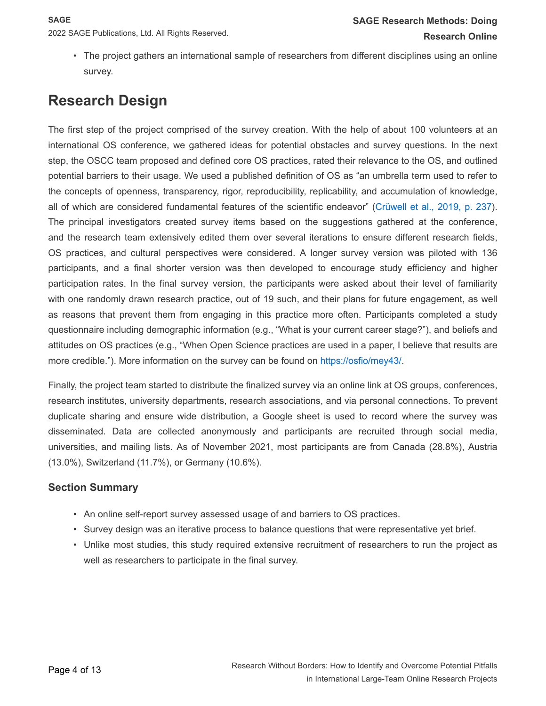• The project gathers an international sample of researchers from different disciplines using an online survey.

## **Research Design**

The first step of the project comprised of the survey creation. With the help of about 100 volunteers at an international OS conference, we gathered ideas for potential obstacles and survey questions. In the next step, the OSCC team proposed and defined core OS practices, rated their relevance to the OS, and outlined potential barriers to their usage. We used a published definition of OS as "an umbrella term used to refer to the concepts of openness, transparency, rigor, reproducibility, replicability, and accumulation of knowledge, all of which are considered fundamental features of the scientific endeavor" ([Crüwell et al., 2019, p. 237](#page-11-4)). The principal investigators created survey items based on the suggestions gathered at the conference, and the research team extensively edited them over several iterations to ensure different research fields, OS practices, and cultural perspectives were considered. A longer survey version was piloted with 136 participants, and a final shorter version was then developed to encourage study efficiency and higher participation rates. In the final survey version, the participants were asked about their level of familiarity with one randomly drawn research practice, out of 19 such, and their plans for future engagement, as well as reasons that prevent them from engaging in this practice more often. Participants completed a study questionnaire including demographic information (e.g., "What is your current career stage?"), and beliefs and attitudes on OS practices (e.g., "When Open Science practices are used in a paper, I believe that results are more credible."). More information on the survey can be found on <https://osfio/mey43/>.

Finally, the project team started to distribute the finalized survey via an online link at OS groups, conferences, research institutes, university departments, research associations, and via personal connections. To prevent duplicate sharing and ensure wide distribution, a Google sheet is used to record where the survey was disseminated. Data are collected anonymously and participants are recruited through social media, universities, and mailing lists. As of November 2021, most participants are from Canada (28.8%), Austria (13.0%), Switzerland (11.7%), or Germany (10.6%).

#### **Section Summary**

- An online self-report survey assessed usage of and barriers to OS practices.
- Survey design was an iterative process to balance questions that were representative yet brief.
- Unlike most studies, this study required extensive recruitment of researchers to run the project as well as researchers to participate in the final survey.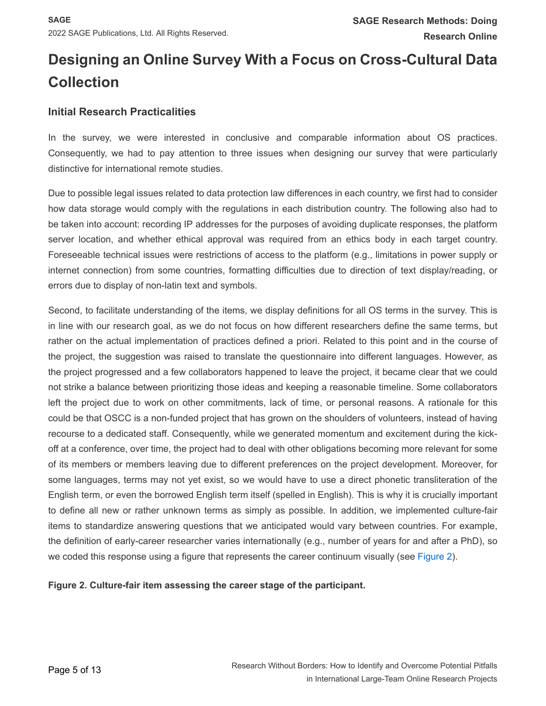## **Designing an Online Survey With a Focus on Cross-Cultural Data Collection**

#### **Initial Research Practicalities**

In the survey, we were interested in conclusive and comparable information about OS practices. Consequently, we had to pay attention to three issues when designing our survey that were particularly distinctive for international remote studies.

Due to possible legal issues related to data protection law differences in each country, we first had to consider how data storage would comply with the regulations in each distribution country. The following also had to be taken into account: recording IP addresses for the purposes of avoiding duplicate responses, the platform server location, and whether ethical approval was required from an ethics body in each target country. Foreseeable technical issues were restrictions of access to the platform (e.g., limitations in power supply or internet connection) from some countries, formatting difficulties due to direction of text display/reading, or errors due to display of non-latin text and symbols.

Second, to facilitate understanding of the items, we display definitions for all OS terms in the survey. This is in line with our research goal, as we do not focus on how different researchers define the same terms, but rather on the actual implementation of practices defined a priori. Related to this point and in the course of the project, the suggestion was raised to translate the questionnaire into different languages. However, as the project progressed and a few collaborators happened to leave the project, it became clear that we could not strike a balance between prioritizing those ideas and keeping a reasonable timeline. Some collaborators left the project due to work on other commitments, lack of time, or personal reasons. A rationale for this could be that OSCC is a non-funded project that has grown on the shoulders of volunteers, instead of having recourse to a dedicated staff. Consequently, while we generated momentum and excitement during the kickoff at a conference, over time, the project had to deal with other obligations becoming more relevant for some of its members or members leaving due to different preferences on the project development. Moreover, for some languages, terms may not yet exist, so we would have to use a direct phonetic transliteration of the English term, or even the borrowed English term itself (spelled in English). This is why it is crucially important to define all new or rather unknown terms as simply as possible. In addition, we implemented culture-fair items to standardize answering questions that we anticipated would vary between countries. For example, the definition of early-career researcher varies internationally (e.g., number of years for and after a PhD), so we coded this response using a figure that represents the career continuum visually (see [Figure 2](#page-4-0)).

<span id="page-4-0"></span>**Figure 2. Culture-fair item assessing the career stage of the participant.**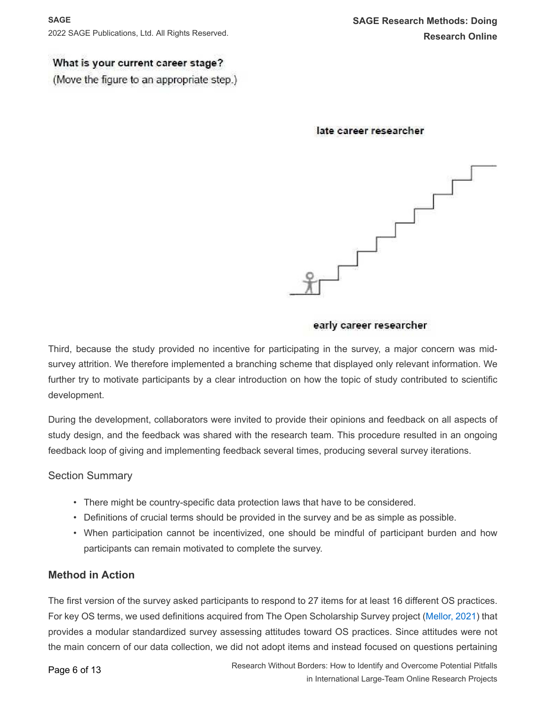#### **SAGE**

2022 SAGE Publications, Ltd. All Rights Reserved.

#### What is your current career stage?

(Move the figure to an appropriate step.)

#### late career researcher



#### early career researcher

Third, because the study provided no incentive for participating in the survey, a major concern was midsurvey attrition. We therefore implemented a branching scheme that displayed only relevant information. We further try to motivate participants by a clear introduction on how the topic of study contributed to scientific development.

During the development, collaborators were invited to provide their opinions and feedback on all aspects of study design, and the feedback was shared with the research team. This procedure resulted in an ongoing feedback loop of giving and implementing feedback several times, producing several survey iterations.

#### Section Summary

- There might be country-specific data protection laws that have to be considered.
- Definitions of crucial terms should be provided in the survey and be as simple as possible.
- When participation cannot be incentivized, one should be mindful of participant burden and how participants can remain motivated to complete the survey.

#### **Method in Action**

The first version of the survey asked participants to respond to 27 items for at least 16 different OS practices. For key OS terms, we used definitions acquired from The Open Scholarship Survey project ([Mellor, 2021](#page-11-5)) that provides a modular standardized survey assessing attitudes toward OS practices. Since attitudes were not the main concern of our data collection, we did not adopt items and instead focused on questions pertaining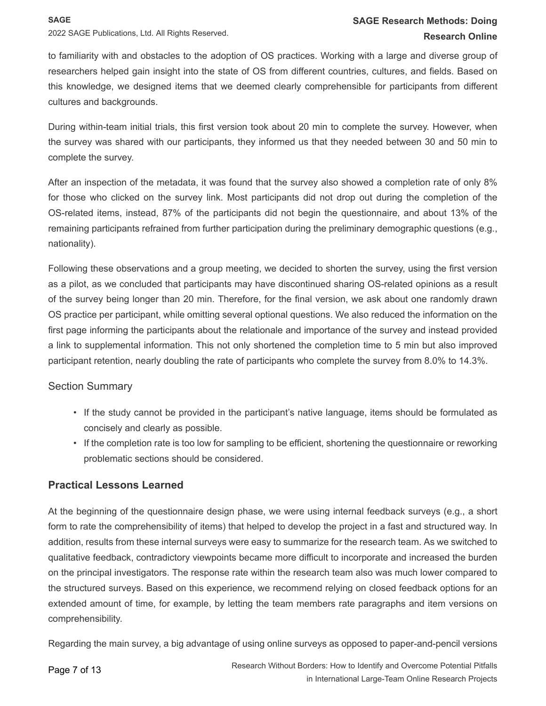to familiarity with and obstacles to the adoption of OS practices. Working with a large and diverse group of researchers helped gain insight into the state of OS from different countries, cultures, and fields. Based on this knowledge, we designed items that we deemed clearly comprehensible for participants from different cultures and backgrounds.

During within-team initial trials, this first version took about 20 min to complete the survey. However, when the survey was shared with our participants, they informed us that they needed between 30 and 50 min to complete the survey.

After an inspection of the metadata, it was found that the survey also showed a completion rate of only 8% for those who clicked on the survey link. Most participants did not drop out during the completion of the OS-related items, instead, 87% of the participants did not begin the questionnaire, and about 13% of the remaining participants refrained from further participation during the preliminary demographic questions (e.g., nationality).

Following these observations and a group meeting, we decided to shorten the survey, using the first version as a pilot, as we concluded that participants may have discontinued sharing OS-related opinions as a result of the survey being longer than 20 min. Therefore, for the final version, we ask about one randomly drawn OS practice per participant, while omitting several optional questions. We also reduced the information on the first page informing the participants about the relationale and importance of the survey and instead provided a link to supplemental information. This not only shortened the completion time to 5 min but also improved participant retention, nearly doubling the rate of participants who complete the survey from 8.0% to 14.3%.

#### Section Summary

- If the study cannot be provided in the participant's native language, items should be formulated as concisely and clearly as possible.
- If the completion rate is too low for sampling to be efficient, shortening the questionnaire or reworking problematic sections should be considered.

#### **Practical Lessons Learned**

At the beginning of the questionnaire design phase, we were using internal feedback surveys (e.g., a short form to rate the comprehensibility of items) that helped to develop the project in a fast and structured way. In addition, results from these internal surveys were easy to summarize for the research team. As we switched to qualitative feedback, contradictory viewpoints became more difficult to incorporate and increased the burden on the principal investigators. The response rate within the research team also was much lower compared to the structured surveys. Based on this experience, we recommend relying on closed feedback options for an extended amount of time, for example, by letting the team members rate paragraphs and item versions on comprehensibility.

Regarding the main survey, a big advantage of using online surveys as opposed to paper-and-pencil versions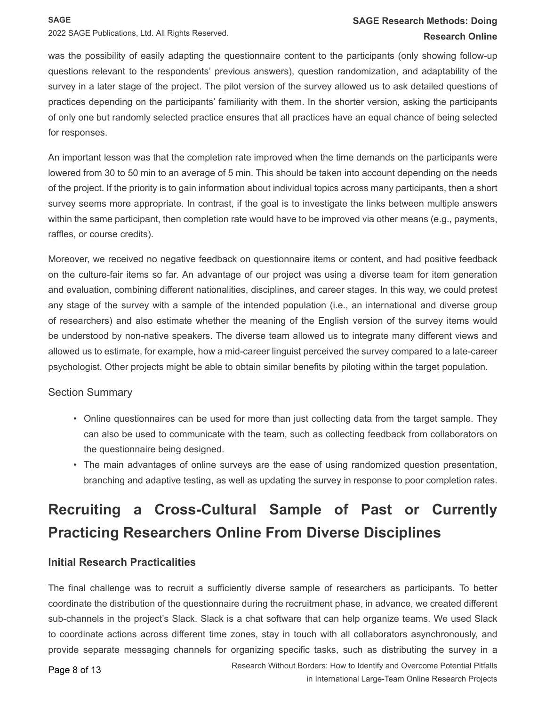**SAGE**

2022 SAGE Publications, Ltd. All Rights Reserved.

#### **SAGE Research Methods: Doing Research Online**

was the possibility of easily adapting the questionnaire content to the participants (only showing follow-up questions relevant to the respondents' previous answers), question randomization, and adaptability of the survey in a later stage of the project. The pilot version of the survey allowed us to ask detailed questions of practices depending on the participants' familiarity with them. In the shorter version, asking the participants of only one but randomly selected practice ensures that all practices have an equal chance of being selected for responses.

An important lesson was that the completion rate improved when the time demands on the participants were lowered from 30 to 50 min to an average of 5 min. This should be taken into account depending on the needs of the project. If the priority is to gain information about individual topics across many participants, then a short survey seems more appropriate. In contrast, if the goal is to investigate the links between multiple answers within the same participant, then completion rate would have to be improved via other means (e.g., payments, raffles, or course credits).

Moreover, we received no negative feedback on questionnaire items or content, and had positive feedback on the culture-fair items so far. An advantage of our project was using a diverse team for item generation and evaluation, combining different nationalities, disciplines, and career stages. In this way, we could pretest any stage of the survey with a sample of the intended population (i.e., an international and diverse group of researchers) and also estimate whether the meaning of the English version of the survey items would be understood by non-native speakers. The diverse team allowed us to integrate many different views and allowed us to estimate, for example, how a mid-career linguist perceived the survey compared to a late-career psychologist. Other projects might be able to obtain similar benefits by piloting within the target population.

#### Section Summary

- Online questionnaires can be used for more than just collecting data from the target sample. They can also be used to communicate with the team, such as collecting feedback from collaborators on the questionnaire being designed.
- The main advantages of online surveys are the ease of using randomized question presentation, branching and adaptive testing, as well as updating the survey in response to poor completion rates.

## **Recruiting a Cross-Cultural Sample of Past or Currently Practicing Researchers Online From Diverse Disciplines**

#### **Initial Research Practicalities**

The final challenge was to recruit a sufficiently diverse sample of researchers as participants. To better coordinate the distribution of the questionnaire during the recruitment phase, in advance, we created different sub-channels in the project's Slack. Slack is a chat software that can help organize teams. We used Slack to coordinate actions across different time zones, stay in touch with all collaborators asynchronously, and provide separate messaging channels for organizing specific tasks, such as distributing the survey in a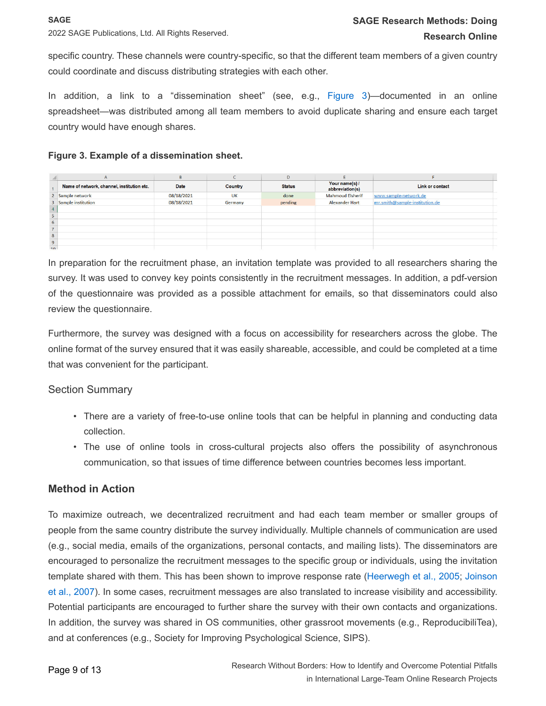specific country. These channels were country-specific, so that the different team members of a given country could coordinate and discuss distributing strategies with each other.

In addition, a link to a "dissemination sheet" (see, e.g., [Figure 3](#page-8-0))—documented in an online spreadsheet—was distributed among all team members to avoid duplicate sharing and ensure each target country would have enough shares.

#### <span id="page-8-0"></span>**Figure 3. Example of a dissemination sheet.**

|                 |                                            | B          |           | D             |                                   |                                |  |
|-----------------|--------------------------------------------|------------|-----------|---------------|-----------------------------------|--------------------------------|--|
|                 | Name of network, channel, institution etc. | Date       | Country   | <b>Status</b> | Your name(s) /<br>abbreviation(s) | Link or contact                |  |
|                 | 2 Sample network                           | 08/18/2021 | <b>UK</b> | done          | <b>Mahmoud Elsherif</b>           | www.sample-network.de          |  |
|                 | 3 Sample institution                       | 08/18/2021 | Germany   | pending       | <b>Alexander Hart</b>             | mr.smith@sample-institution.de |  |
|                 |                                            |            |           |               |                                   |                                |  |
|                 |                                            |            |           |               |                                   |                                |  |
| 6               |                                            |            |           |               |                                   |                                |  |
| 7               |                                            |            |           |               |                                   |                                |  |
| 8               |                                            |            |           |               |                                   |                                |  |
| $\overline{9}$  |                                            |            |           |               |                                   |                                |  |
| 40 <sup>1</sup> |                                            |            |           |               |                                   |                                |  |

In preparation for the recruitment phase, an invitation template was provided to all researchers sharing the survey. It was used to convey key points consistently in the recruitment messages. In addition, a pdf-version of the questionnaire was provided as a possible attachment for emails, so that disseminators could also review the questionnaire.

Furthermore, the survey was designed with a focus on accessibility for researchers across the globe. The online format of the survey ensured that it was easily shareable, accessible, and could be completed at a time that was convenient for the participant.

#### Section Summary

- There are a variety of free-to-use online tools that can be helpful in planning and conducting data collection.
- The use of online tools in cross-cultural projects also offers the possibility of asynchronous communication, so that issues of time difference between countries becomes less important.

#### **Method in Action**

To maximize outreach, we decentralized recruitment and had each team member or smaller groups of people from the same country distribute the survey individually. Multiple channels of communication are used (e.g., social media, emails of the organizations, personal contacts, and mailing lists). The disseminators are encouraged to personalize the recruitment messages to the specific group or individuals, using the invitation template shared with them. This has been shown to improve response rate ([Heerwegh et al., 2005](#page-11-6); [Joinson](#page-11-7)  [et al., 2007](#page-11-7)). In some cases, recruitment messages are also translated to increase visibility and accessibility. Potential participants are encouraged to further share the survey with their own contacts and organizations. In addition, the survey was shared in OS communities, other grassroot movements (e.g., ReproducibiliTea), and at conferences (e.g., Society for Improving Psychological Science, SIPS).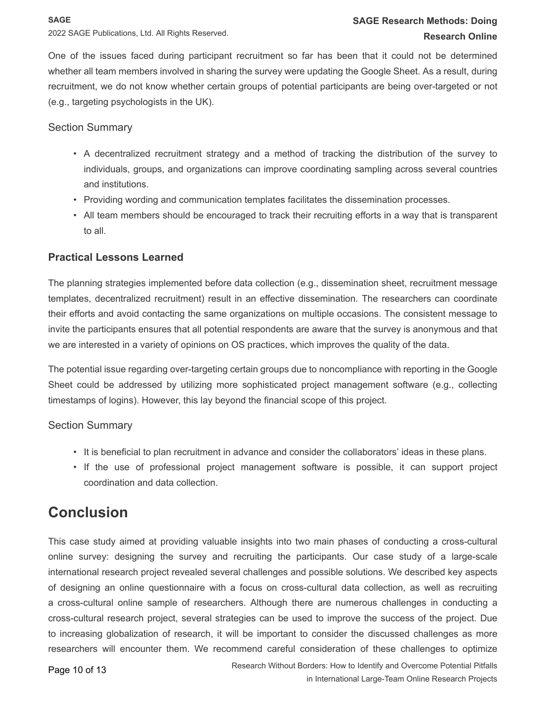#### **SAGE**

2022 SAGE Publications, Ltd. All Rights Reserved.

One of the issues faced during participant recruitment so far has been that it could not be determined whether all team members involved in sharing the survey were updating the Google Sheet. As a result, during recruitment, we do not know whether certain groups of potential participants are being over-targeted or not (e.g., targeting psychologists in the UK).

#### Section Summary

- A decentralized recruitment strategy and a method of tracking the distribution of the survey to individuals, groups, and organizations can improve coordinating sampling across several countries and institutions.
- Providing wording and communication templates facilitates the dissemination processes.
- All team members should be encouraged to track their recruiting efforts in a way that is transparent to all.

#### **Practical Lessons Learned**

The planning strategies implemented before data collection (e.g., dissemination sheet, recruitment message templates, decentralized recruitment) result in an effective dissemination. The researchers can coordinate their efforts and avoid contacting the same organizations on multiple occasions. The consistent message to invite the participants ensures that all potential respondents are aware that the survey is anonymous and that we are interested in a variety of opinions on OS practices, which improves the quality of the data.

The potential issue regarding over-targeting certain groups due to noncompliance with reporting in the Google Sheet could be addressed by utilizing more sophisticated project management software (e.g., collecting timestamps of logins). However, this lay beyond the financial scope of this project.

#### Section Summary

- It is beneficial to plan recruitment in advance and consider the collaborators' ideas in these plans.
- If the use of professional project management software is possible, it can support project coordination and data collection.

## **Conclusion**

This case study aimed at providing valuable insights into two main phases of conducting a cross-cultural online survey: designing the survey and recruiting the participants. Our case study of a large-scale international research project revealed several challenges and possible solutions. We described key aspects of designing an online questionnaire with a focus on cross-cultural data collection, as well as recruiting a cross-cultural online sample of researchers. Although there are numerous challenges in conducting a cross-cultural research project, several strategies can be used to improve the success of the project. Due to increasing globalization of research, it will be important to consider the discussed challenges as more researchers will encounter them. We recommend careful consideration of these challenges to optimize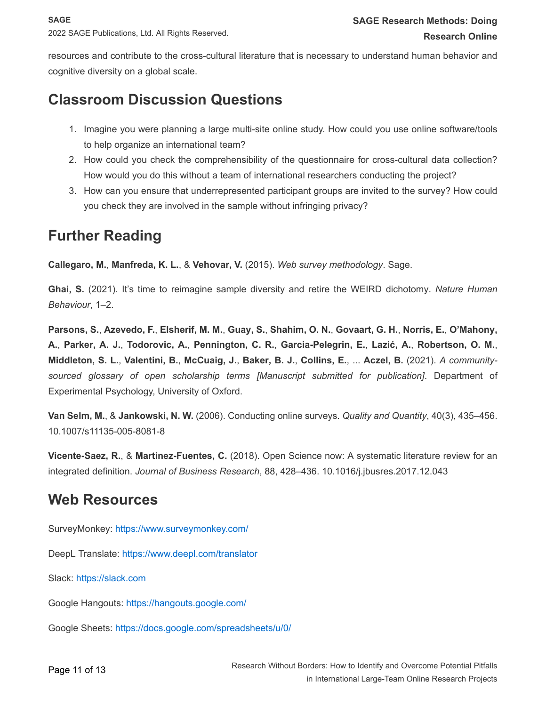resources and contribute to the cross-cultural literature that is necessary to understand human behavior and cognitive diversity on a global scale.

## **Classroom Discussion Questions**

- 1. Imagine you were planning a large multi-site online study. How could you use online software/tools to help organize an international team?
- 2. How could you check the comprehensibility of the questionnaire for cross-cultural data collection? How would you do this without a team of international researchers conducting the project?
- 3. How can you ensure that underrepresented participant groups are invited to the survey? How could you check they are involved in the sample without infringing privacy?

## **Further Reading**

**Callegaro, M.**, **Manfreda, K. L.**, & **Vehovar, V.** (2015). *Web survey methodology*. Sage.

**Ghai, S.** (2021). It's time to reimagine sample diversity and retire the WEIRD dichotomy. *Nature Human Behaviour*, 1–2.

Parsons, S., Azevedo, F., Elsherif, M. M., Guay, S., Shahim, O. N., Govaart, G. H., Norris, E., O'Mahony, A., Parker, A. J., Todorovic, A., Pennington, C. R., Garcia-Pelegrin, E., Lazić, A., Robertson, O. M., Middleton, S. L., Valentini, B., McCuaig, J., Baker, B. J., Collins, E., ... Aczel, B. (2021). A community*sourced glossary of open scholarship terms [Manuscript submitted for publication]*. Department of Experimental Psychology, University of Oxford.

**Van Selm, M.**, & **Jankowski, N. W.** (2006). Conducting online surveys. *Quality and Quantity*, 40(3), 435–456. 10.1007/s11135-005-8081-8

**Vicente-Saez, R.**, & **Martinez-Fuentes, C.** (2018). Open Science now: A systematic literature review for an integrated definition. *Journal of Business Research*, 88, 428–436. 10.1016/j.jbusres.2017.12.043

## **Web Resources**

SurveyMonkey: <https://www.surveymonkey.com/>

DeepL Translate: <https://www.deepl.com/translator>

Slack: [https://slack.com](https://slack.com/) 

Google Hangouts: <https://hangouts.google.com/>

Google Sheets: <https://docs.google.com/spreadsheets/u/0/>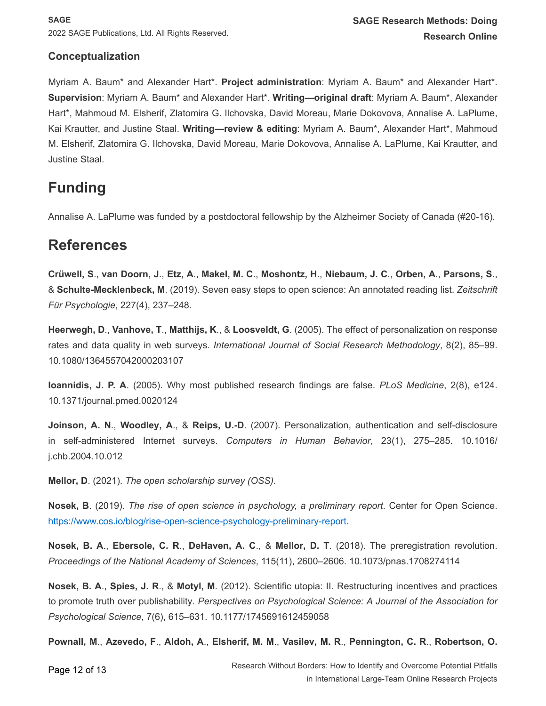#### **Conceptualization**

Myriam A. Baum\* and Alexander Hart\*. **Project administration**: Myriam A. Baum\* and Alexander Hart\*. **Supervision**: Myriam A. Baum\* and Alexander Hart\*. **Writing—original draft**: Myriam A. Baum\*, Alexander Hart\*, Mahmoud M. Elsherif, Zlatomira G. Ilchovska, David Moreau, Marie Dokovova, Annalise A. LaPlume, Kai Krautter, and Justine Staal. **Writing—review & editing**: Myriam A. Baum\*, Alexander Hart\*, Mahmoud M. Elsherif, Zlatomira G. Ilchovska, David Moreau, Marie Dokovova, Annalise A. LaPlume, Kai Krautter, and Justine Staal.

## **Funding**

Annalise A. LaPlume was funded by a postdoctoral fellowship by the Alzheimer Society of Canada (#20-16).

## **References**

<span id="page-11-4"></span>Crüwell, S., van Doorn, J., Etz, A., Makel, M. C., Moshontz, H., Niebaum, J. C., Orben, A., Parsons, S., & **Schulte-Mecklenbeck, M**. (2019). Seven easy steps to open science: An annotated reading list. *Zeitschrift Für Psychologie*, 227(4), 237–248.

<span id="page-11-6"></span>**Heerwegh, D**., **Vanhove, T**., **Matthijs, K**., & **Loosveldt, G**. (2005). The effect of personalization on response rates and data quality in web surveys. *International Journal of Social Research Methodology*, 8(2), 85–99. 10.1080/1364557042000203107

<span id="page-11-0"></span>**Ioannidis, J. P. A**. (2005). Why most published research findings are false. *PLoS Medicine*, 2(8), e124. 10.1371/journal.pmed.0020124

<span id="page-11-7"></span>**Joinson, A. N**., **Woodley, A**., & **Reips, U.-D**. (2007). Personalization, authentication and self-disclosure in self-administered Internet surveys. *Computers in Human Behavior*, 23(1), 275–285. 10.1016/ j.chb.2004.10.012

<span id="page-11-5"></span>**Mellor, D**. (2021). *The open scholarship survey (OSS)*.

<span id="page-11-3"></span>**Nosek, B**. (2019). *The rise of open science in psychology, a preliminary report*. Center for Open Science. <https://www.cos.io/blog/rise-open-science-psychology-preliminary-report>.

**Nosek, B. A**., **Ebersole, C. R**., **DeHaven, A. C**., & **Mellor, D. T**. (2018). The preregistration revolution. *Proceedings of the National Academy of Sciences*, 115(11), 2600–2606. 10.1073/pnas.1708274114

<span id="page-11-1"></span>**Nosek, B. A**., **Spies, J. R**., & **Motyl, M**. (2012). Scientific utopia: II. Restructuring incentives and practices to promote truth over publishability. *Perspectives on Psychological Science: A Journal of the Association for Psychological Science*, 7(6), 615–631. 10.1177/1745691612459058

<span id="page-11-2"></span>Pownall, M., Azevedo, F., Aldoh, A., Elsherif, M. M., Vasilev, M. R., Pennington, C. R., Robertson, O.